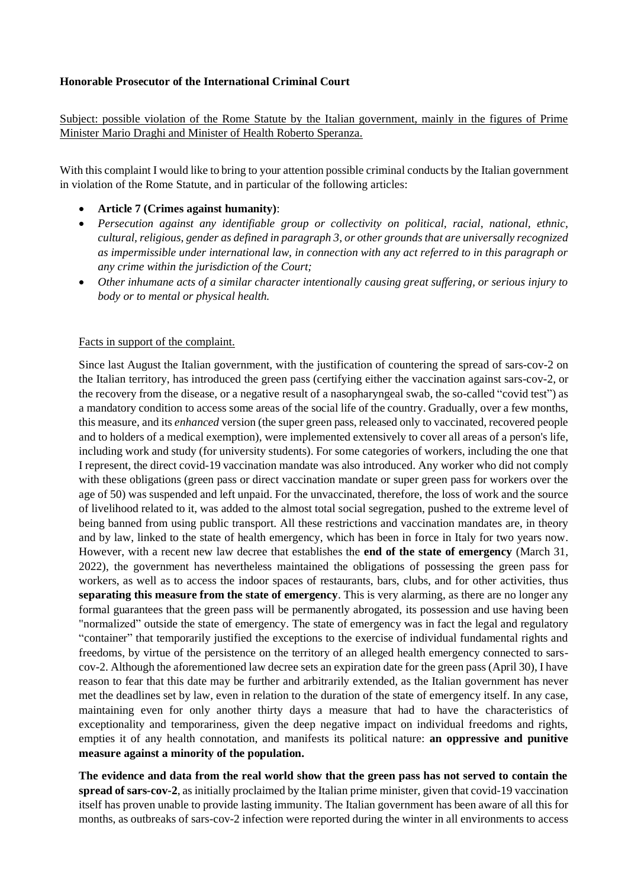## **Honorable Prosecutor of the International Criminal Court**

Subject: possible violation of the Rome Statute by the Italian government, mainly in the figures of Prime Minister Mario Draghi and Minister of Health Roberto Speranza.

With this complaint I would like to bring to your attention possible criminal conducts by the Italian government in violation of the Rome Statute, and in particular of the following articles:

- **Article 7 (Crimes against humanity)**:
- *Persecution against any identifiable group or collectivity on political, racial, national, ethnic, cultural, religious, gender as defined in paragraph 3, or other grounds that are universally recognized as impermissible under international law, in connection with any act referred to in this paragraph or any crime within the jurisdiction of the Court;*
- *Other inhumane acts of a similar character intentionally causing great suffering, or serious injury to body or to mental or physical health.*

## Facts in support of the complaint.

Since last August the Italian government, with the justification of countering the spread of sars-cov-2 on the Italian territory, has introduced the green pass (certifying either the vaccination against sars-cov-2, or the recovery from the disease, or a negative result of a nasopharyngeal swab, the so-called "covid test") as a mandatory condition to access some areas of the social life of the country. Gradually, over a few months, this measure, and its *enhanced* version (the super green pass, released only to vaccinated, recovered people and to holders of a medical exemption), were implemented extensively to cover all areas of a person's life, including work and study (for university students). For some categories of workers, including the one that I represent, the direct covid-19 vaccination mandate was also introduced. Any worker who did not comply with these obligations (green pass or direct vaccination mandate or super green pass for workers over the age of 50) was suspended and left unpaid. For the unvaccinated, therefore, the loss of work and the source of livelihood related to it, was added to the almost total social segregation, pushed to the extreme level of being banned from using public transport. All these restrictions and vaccination mandates are, in theory and by law, linked to the state of health emergency, which has been in force in Italy for two years now. However, with a recent new law decree that establishes the **end of the state of emergency** (March 31, 2022), the government has nevertheless maintained the obligations of possessing the green pass for workers, as well as to access the indoor spaces of restaurants, bars, clubs, and for other activities, thus **separating this measure from the state of emergency**. This is very alarming, as there are no longer any formal guarantees that the green pass will be permanently abrogated, its possession and use having been "normalized" outside the state of emergency. The state of emergency was in fact the legal and regulatory "container" that temporarily justified the exceptions to the exercise of individual fundamental rights and freedoms, by virtue of the persistence on the territory of an alleged health emergency connected to sarscov-2. Although the aforementioned law decree sets an expiration date for the green pass (April 30), I have reason to fear that this date may be further and arbitrarily extended, as the Italian government has never met the deadlines set by law, even in relation to the duration of the state of emergency itself. In any case, maintaining even for only another thirty days a measure that had to have the characteristics of exceptionality and temporariness, given the deep negative impact on individual freedoms and rights, empties it of any health connotation, and manifests its political nature: **an oppressive and punitive measure against a minority of the population.** 

**The evidence and data from the real world show that the green pass has not served to contain the spread of sars-cov-2**, as initially proclaimed by the Italian prime minister, given that covid-19 vaccination itself has proven unable to provide lasting immunity. The Italian government has been aware of all this for months, as outbreaks of sars-cov-2 infection were reported during the winter in all environments to access